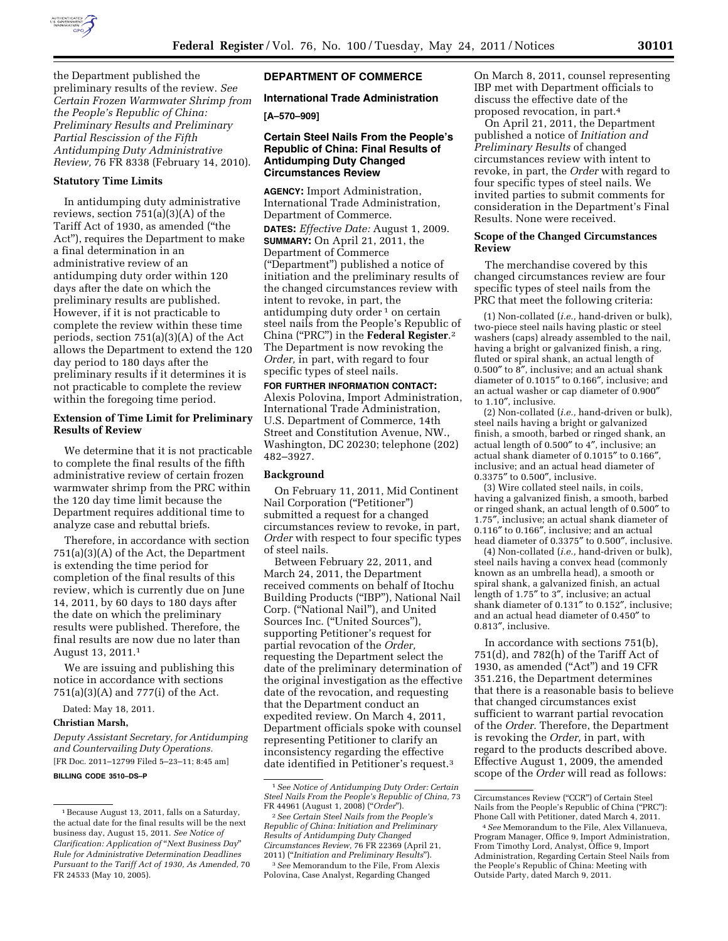

the Department published the preliminary results of the review. *See Certain Frozen Warmwater Shrimp from the People's Republic of China: Preliminary Results and Preliminary Partial Rescission of the Fifth Antidumping Duty Administrative Review,* 76 FR 8338 (February 14, 2010).

# **Statutory Time Limits**

In antidumping duty administrative reviews, section 751(a)(3)(A) of the Tariff Act of 1930, as amended (''the Act''), requires the Department to make a final determination in an administrative review of an antidumping duty order within 120 days after the date on which the preliminary results are published. However, if it is not practicable to complete the review within these time periods, section 751(a)(3)(A) of the Act allows the Department to extend the 120 day period to 180 days after the preliminary results if it determines it is not practicable to complete the review within the foregoing time period.

# **Extension of Time Limit for Preliminary Results of Review**

We determine that it is not practicable to complete the final results of the fifth administrative review of certain frozen warmwater shrimp from the PRC within the 120 day time limit because the Department requires additional time to analyze case and rebuttal briefs.

Therefore, in accordance with section 751(a)(3)(A) of the Act, the Department is extending the time period for completion of the final results of this review, which is currently due on June 14, 2011, by 60 days to 180 days after the date on which the preliminary results were published. Therefore, the final results are now due no later than August 13, 2011.1

We are issuing and publishing this notice in accordance with sections 751(a)(3)(A) and 777(i) of the Act.

Dated: May 18, 2011.

# **Christian Marsh,**

*Deputy Assistant Secretary, for Antidumping and Countervailing Duty Operations.*  [FR Doc. 2011–12799 Filed 5–23–11; 8:45 am]

**BILLING CODE 3510–DS–P** 

# **DEPARTMENT OF COMMERCE**

## **International Trade Administration**

**[A–570–909]** 

## **Certain Steel Nails From the People's Republic of China: Final Results of Antidumping Duty Changed Circumstances Review**

**AGENCY:** Import Administration, International Trade Administration, Department of Commerce.

**DATES:** *Effective Date:* August 1, 2009. **SUMMARY:** On April 21, 2011, the Department of Commerce (''Department'') published a notice of initiation and the preliminary results of the changed circumstances review with intent to revoke, in part, the antidumping duty order 1 on certain steel nails from the People's Republic of China (''PRC'') in the **Federal Register**.2 The Department is now revoking the *Order,* in part, with regard to four specific types of steel nails.

**FOR FURTHER INFORMATION CONTACT:**  Alexis Polovina, Import Administration, International Trade Administration, U.S. Department of Commerce, 14th Street and Constitution Avenue, NW., Washington, DC 20230; telephone (202) 482–3927.

## **Background**

On February 11, 2011, Mid Continent Nail Corporation (''Petitioner'') submitted a request for a changed circumstances review to revoke, in part, *Order* with respect to four specific types of steel nails.

Between February 22, 2011, and March 24, 2011, the Department received comments on behalf of Itochu Building Products (''IBP''), National Nail Corp. (''National Nail''), and United Sources Inc. (''United Sources''), supporting Petitioner's request for partial revocation of the *Order,*  requesting the Department select the date of the preliminary determination of the original investigation as the effective date of the revocation, and requesting that the Department conduct an expedited review. On March 4, 2011, Department officials spoke with counsel representing Petitioner to clarify an inconsistency regarding the effective date identified in Petitioner's request.3

On March 8, 2011, counsel representing IBP met with Department officials to discuss the effective date of the proposed revocation, in part.4

On April 21, 2011, the Department published a notice of *Initiation and Preliminary Results* of changed circumstances review with intent to revoke, in part, the *Order* with regard to four specific types of steel nails. We invited parties to submit comments for consideration in the Department's Final Results. None were received.

## **Scope of the Changed Circumstances Review**

The merchandise covered by this changed circumstances review are four specific types of steel nails from the PRC that meet the following criteria:

(1) Non-collated (*i.e.,* hand-driven or bulk), two-piece steel nails having plastic or steel washers (caps) already assembled to the nail, having a bright or galvanized finish, a ring, fluted or spiral shank, an actual length of 0.500″ to 8″, inclusive; and an actual shank diameter of 0.1015″ to 0.166″, inclusive; and an actual washer or cap diameter of 0.900″ to 1.10″, inclusive.

(2) Non-collated (*i.e.,* hand-driven or bulk), steel nails having a bright or galvanized finish, a smooth, barbed or ringed shank, an actual length of 0.500″ to 4″, inclusive; an actual shank diameter of 0.1015″ to 0.166″, inclusive; and an actual head diameter of 0.3375″ to 0.500″, inclusive.

(3) Wire collated steel nails, in coils, having a galvanized finish, a smooth, barbed or ringed shank, an actual length of 0.500″ to 1.75″, inclusive; an actual shank diameter of 0.116″ to 0.166″, inclusive; and an actual head diameter of 0.3375″ to 0.500″, inclusive.

(4) Non-collated (*i.e.,* hand-driven or bulk), steel nails having a convex head (commonly known as an umbrella head), a smooth or spiral shank, a galvanized finish, an actual length of 1.75″ to 3″, inclusive; an actual shank diameter of 0.131″ to 0.152″, inclusive; and an actual head diameter of 0.450″ to 0.813″, inclusive.

In accordance with sections 751(b), 751(d), and 782(h) of the Tariff Act of 1930, as amended (''Act'') and 19 CFR 351.216, the Department determines that there is a reasonable basis to believe that changed circumstances exist sufficient to warrant partial revocation of the *Order.* Therefore, the Department is revoking the *Order,* in part, with regard to the products described above. Effective August 1, 2009, the amended scope of the *Order* will read as follows:

<sup>1</sup>Because August 13, 2011, falls on a Saturday, the actual date for the final results will be the next business day, August 15, 2011. *See Notice of Clarification: Application of* ''*Next Business Day*'' *Rule for Administrative Determination Deadlines Pursuant to the Tariff Act of 1930, As Amended,* 70 FR 24533 (May 10, 2005).

<sup>1</sup>*See Notice of Antidumping Duty Order: Certain Steel Nails From the People's Republic of China,* 73 FR 44961 (August 1, 2008) (''*Order*'').

<sup>2</sup>*See Certain Steel Nails from the People's Republic of China: Initiation and Preliminary Results of Antidumping Duty Changed Circumstances Review,* 76 FR 22369 (April 21, 2011) (''*Initiation and Preliminary Results*'').

<sup>3</sup>*See* Memorandum to the File, From Alexis Polovina, Case Analyst, Regarding Changed

Circumstances Review (''CCR'') of Certain Steel Nails from the People's Republic of China (''PRC''): Phone Call with Petitioner, dated March 4, 2011.

<sup>4</sup>*See* Memorandum to the File, Alex Villanueva, Program Manager, Office 9, Import Administration, From Timothy Lord, Analyst, Office 9, Import Administration, Regarding Certain Steel Nails from the People's Republic of China: Meeting with Outside Party, dated March 9, 2011.